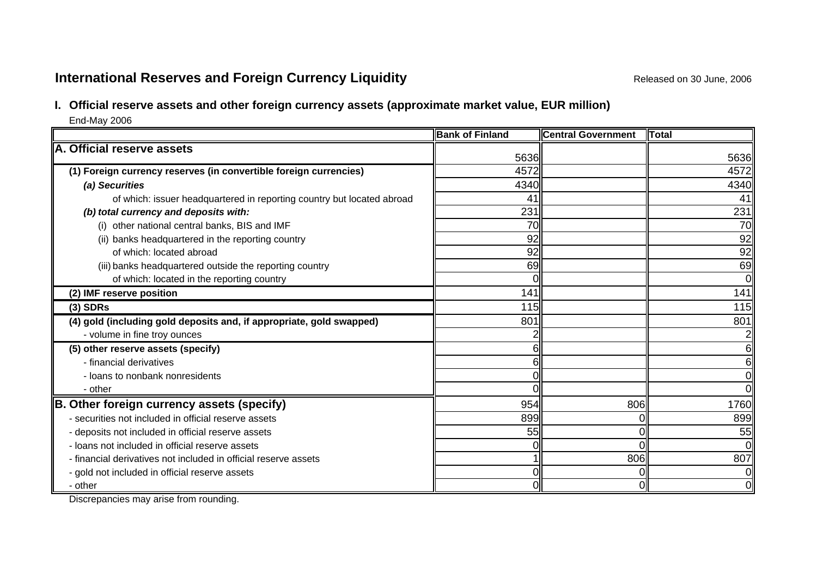# **International Reserves and Foreign Currency Liquidity Released on 30 June, 2006 Released on 30 June, 2006**

# **I. Official reserve assets and other foreign currency assets (approximate market value, EUR million)**  End-May 2006

**Bank of Finland Central Government TotalA. Official reserve assets(1) Foreign currency reserves (in convertible foreign currencies)** 4572 4572 *(a) Securities* 4340 4340 of which: issuer headquartered in reporting country but located abroad 41 41 *(b)* total currency and deposits with: 231 231 (i) other national central banks, BIS and IMF 70 70 (ii) banks headquartered in the reporting country  $\sqrt{92}$  92 of which: located abroad 92 92 (iii) banks headquartered outside the reporting country 69 69 of which: located in the reporting country 0 0 **(2)** IMF reserve position **141 141** 141 **(3) SDRs** 115 115 **(4)** aold (including gold deposits and, if appropriate, gold swapped) **1998** 801 801 801 801 801 801 - volume in fine troy ounces 2 2 **(5) other reserve assets (specify)** 6 6 - financial derivatives 6 6- loans to nonbank nonresidentss descriptions of the contract of the contract of the contract of the contract of the contract of the contract o - other 0 0**B.** Other foreign currency assets (specify) 806 806 806 806 806 1760 - securities not included in official reserve assets 899 0 899- deposits not included in official reserve assets 55  $\parallel$  55  $\parallel$  55  $\parallel$  55  $\parallel$  55 - loans not included in official reserve assetss description of the contract of the contract of the contract of the contract of the contract of the contract o - financial derivatives not included in official reserve assetss 1 ll 806ll 807 - gold not included in official reserve assets  $\begin{matrix} 0 \end{matrix}$  and  $\begin{matrix} 0 \end{matrix}$  and  $\begin{matrix} 0 \end{matrix}$  and  $\begin{matrix} 0 \end{matrix}$  and  $\begin{matrix} 0 \end{matrix}$  and  $\begin{matrix} 0 \end{matrix}$  and  $\begin{matrix} 0 \end{matrix}$  and  $\begin{matrix} 0 \end{matrix}$  and  $\begin{matrix} 0 \end{matrix}$  and  $\begin{$ - other 00056365636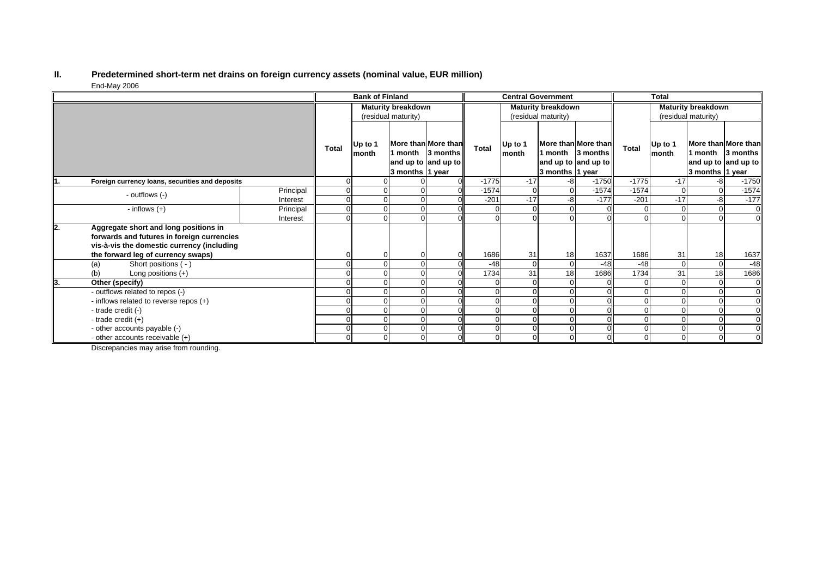#### **II. Predetermined short-term net drains on foreign currency assets (nominal value, EUR million)** End-May 2006

|    |                                                                                                                                   |           | <b>Bank of Finland</b>    |                  |                 | <b>Central Government</b>                                      |                     |                  |                           | <b>Total</b>                                                           |              |                  |                            |                                                        |
|----|-----------------------------------------------------------------------------------------------------------------------------------|-----------|---------------------------|------------------|-----------------|----------------------------------------------------------------|---------------------|------------------|---------------------------|------------------------------------------------------------------------|--------------|------------------|----------------------------|--------------------------------------------------------|
|    |                                                                                                                                   |           | <b>Maturity breakdown</b> |                  |                 | <b>Maturity breakdown</b>                                      |                     |                  | <b>Maturity breakdown</b> |                                                                        |              |                  |                            |                                                        |
|    |                                                                                                                                   |           | (residual maturity)       |                  |                 |                                                                | (residual maturity) |                  |                           | (residual maturity)                                                    |              |                  |                            |                                                        |
|    |                                                                                                                                   |           | <b>Total</b>              | Up to 1<br>month | 3 months 1 year | More than More than<br>1 month 3 months<br>and up to and up to | Total               | Up to 1<br>month | 3 months 1 year           | More than More than<br>1 month $\vert$ 3 months<br>and up to and up to | <b>Total</b> | Up to 1<br>month | 1 month<br>3 months 1 year | More than More than<br>3 months<br>and up to and up to |
|    | Foreign currency loans, securities and deposits                                                                                   |           | 0                         |                  |                 |                                                                | $-1775$             | $-17$            | -8                        | $-1750$                                                                | $-1775$      | $-17$            | -8                         | $-1750$                                                |
|    | - outflows (-)                                                                                                                    | Principal |                           |                  |                 |                                                                | $-1574$             | $\Omega$         | $\Omega$                  | $-1574$                                                                | $-1574$      | $\Omega$         | $\Omega$                   | $-1574$                                                |
|    |                                                                                                                                   | Interest  |                           |                  |                 |                                                                | $-201$              | $-17$            | -8                        | $-177$                                                                 | $-201$       | $-17$            | -8                         | $-177$                                                 |
|    | - inflows $(+)$                                                                                                                   | Principal | 0                         |                  |                 |                                                                |                     |                  |                           |                                                                        |              |                  | $\Omega$                   |                                                        |
|    |                                                                                                                                   | Interest  | $\Omega$                  |                  |                 |                                                                |                     |                  |                           |                                                                        |              |                  |                            |                                                        |
| 2. | Aggregate short and long positions in<br>forwards and futures in foreign currencies<br>vis-à-vis the domestic currency (including |           |                           |                  |                 |                                                                |                     |                  |                           |                                                                        |              |                  |                            |                                                        |
|    | the forward leg of currency swaps)                                                                                                |           |                           |                  |                 |                                                                | 1686                | 31               | 18                        | 1637                                                                   | 1686         | 31               | 18                         | 1637                                                   |
|    | Short positions ( - )<br>(a)                                                                                                      |           |                           |                  |                 |                                                                | $-48$               | $\Omega$         | $\Omega$                  | $-48$                                                                  | $-48$        | $\Omega$         | $\mathbf 0$                | $-48$                                                  |
|    | (b)<br>Long positions $(+)$                                                                                                       |           |                           |                  |                 |                                                                | 1734                | 31               | 18                        | 1686                                                                   | 1734         | 31               | 18                         | 1686                                                   |
| 3. | Other (specify)                                                                                                                   |           |                           |                  |                 |                                                                |                     |                  |                           |                                                                        |              |                  | $\Omega$                   |                                                        |
|    | - outflows related to repos (-)                                                                                                   |           |                           |                  |                 |                                                                |                     |                  |                           |                                                                        |              |                  |                            |                                                        |
|    | - inflows related to reverse repos (+)                                                                                            |           |                           |                  |                 |                                                                |                     |                  | $\Omega$                  |                                                                        | $\Omega$     |                  |                            |                                                        |
|    | - trade credit (-)                                                                                                                |           |                           |                  |                 |                                                                |                     |                  |                           |                                                                        |              |                  |                            |                                                        |
|    | - trade credit $(+)$                                                                                                              |           |                           |                  |                 |                                                                |                     |                  | $\Omega$                  |                                                                        |              |                  | $\Omega$                   |                                                        |
|    | - other accounts payable (-)                                                                                                      |           |                           |                  |                 |                                                                |                     |                  |                           |                                                                        | $\Omega$     |                  |                            |                                                        |
|    | - other accounts receivable (+)                                                                                                   |           |                           |                  |                 |                                                                |                     |                  | $\Omega$                  |                                                                        | $\Omega$     |                  | $\Omega$                   |                                                        |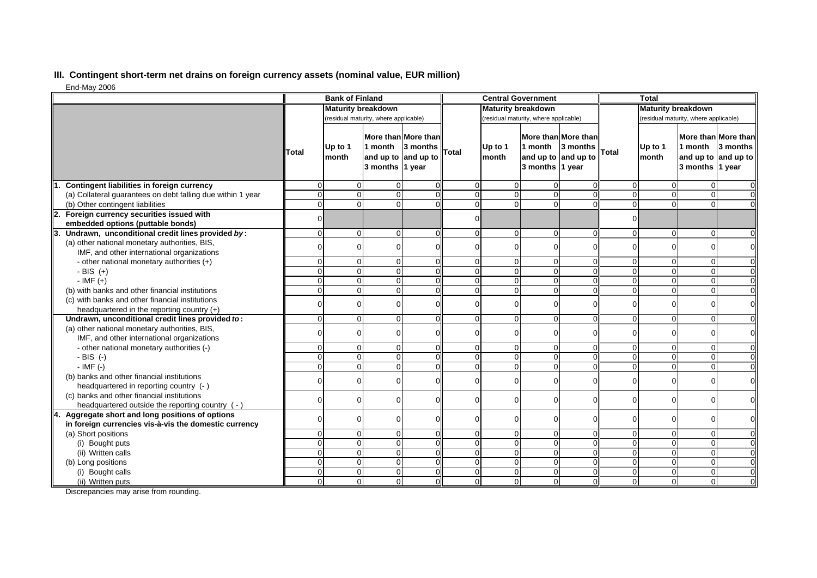## **III. Contingent short-term net drains on foreign currency assets (nominal value, EUR million)**

End-May 2006

|                                                                                             | <b>Bank of Finland</b>                |                  |                                                   |                                 | <b>Central Government</b> |                  |                                                   |                                 | <b>Total</b>                          |                  |                            |                                                        |
|---------------------------------------------------------------------------------------------|---------------------------------------|------------------|---------------------------------------------------|---------------------------------|---------------------------|------------------|---------------------------------------------------|---------------------------------|---------------------------------------|------------------|----------------------------|--------------------------------------------------------|
|                                                                                             | <b>Maturity breakdown</b>             |                  |                                                   | <b>Maturity breakdown</b>       |                           |                  |                                                   | <b>Maturity breakdown</b>       |                                       |                  |                            |                                                        |
|                                                                                             | (residual maturity, where applicable) |                  | (residual maturity, where applicable)             |                                 |                           |                  |                                                   |                                 | (residual maturity, where applicable) |                  |                            |                                                        |
|                                                                                             | Total                                 | Up to 1<br>month | 1 month<br>and up to and up to<br>3 months 1 year | More than More than<br>3 months | <b>Total</b>              | Up to 1<br>month | 1 month<br>and up to and up to<br>3 months 1 year | More than More than<br>3 months | <b>Total</b>                          | Up to 1<br>month | 1 month<br>3 months 1 year | More than More than<br>3 months<br>and up to and up to |
| Contingent liabilities in foreign currency                                                  | $\Omega$                              | $\mathbf 0$      | $\Omega$                                          |                                 | $\overline{0}$            | $\Omega$         | $\Omega$                                          |                                 | $\Omega$                              | 0                | $\overline{0}$             | $\overline{0}$                                         |
| (a) Collateral guarantees on debt falling due within 1 year                                 | $\Omega$                              | $\mathbf{O}$     | $\Omega$                                          |                                 | $\Omega$                  | $\Omega$         | $\Omega$                                          | $\Omega$                        | $\Omega$                              | $\Omega$         | $\overline{0}$             | $\overline{0}$                                         |
| (b) Other contingent liabilities                                                            | $\Omega$                              | $\Omega$         | $\Omega$                                          |                                 | $\Omega$                  | $\Omega$         | $\Omega$                                          | $\Omega$                        | $\Omega$                              | $\Omega$         | $\Omega$                   | $\Omega$                                               |
| 2. Foreign currency securities issued with<br>embedded options (puttable bonds)             | $\Omega$                              |                  |                                                   |                                 | $\Omega$                  |                  |                                                   |                                 | $\Omega$                              |                  |                            |                                                        |
| 3. Undrawn, unconditional credit lines provided by:                                         | $\Omega$                              | $\mathbf{0}$     | $\Omega$                                          |                                 | $\Omega$                  | $\Omega$         | $\Omega$                                          | $\Omega$                        | $\Omega$                              | $\Omega$         | $\Omega$                   | $\overline{0}$                                         |
| (a) other national monetary authorities, BIS,<br>IMF, and other international organizations |                                       | $\overline{0}$   | $\Omega$                                          |                                 | $\Omega$                  |                  |                                                   |                                 | $\Omega$                              | O                | $\Omega$                   | $\overline{0}$                                         |
| - other national monetary authorities (+)                                                   | $\mathbf 0$                           | $\overline{0}$   | $\mathbf 0$                                       |                                 | $\overline{0}$            | $\overline{0}$   | $\overline{0}$                                    | $\mathbf 0$                     | $\Omega$                              | $\overline{0}$   | $\overline{0}$             | $\overline{0}$                                         |
| - BIS $(+)$                                                                                 | $\Omega$                              | $\mathbf{O}$     | $\mathbf 0$                                       |                                 | 0                         | $\Omega$         | $\Omega$                                          |                                 | $\Omega$                              | $\overline{0}$   | $\overline{0}$             | $\overline{0}$                                         |
| $-IMF (+)$                                                                                  | $\Omega$                              | $\mathbf 0$      | $\mathbf 0$                                       |                                 | 0                         |                  | $\Omega$                                          |                                 | $\Omega$                              | $\Omega$         | $\mathbf 0$                | $\overline{0}$                                         |
| (b) with banks and other financial institutions                                             | $\Omega$                              | $\pmb{0}$        | $\Omega$                                          |                                 | $\overline{0}$            | $\Omega$         | $\Omega$                                          | $\Omega$                        | $\Omega$                              | $\Omega$         | $\overline{0}$             | $\overline{0}$                                         |
| (c) with banks and other financial institutions                                             |                                       |                  |                                                   |                                 |                           |                  |                                                   |                                 |                                       |                  |                            |                                                        |
| headquartered in the reporting country $(+)$                                                |                                       | $\overline{0}$   | $\Omega$                                          |                                 | $\Omega$                  |                  |                                                   |                                 | O                                     | $\Omega$         | $\mathbf 0$                | $\overline{0}$                                         |
| Undrawn, unconditional credit lines provided to:                                            | $\Omega$                              | $\mathbf 0$      | $\Omega$                                          |                                 | $\Omega$                  | $\Omega$         | $\overline{0}$                                    | $\Omega$                        | $\Omega$                              | $\Omega$         | $\mathbf 0$                | $\overline{0}$                                         |
| (a) other national monetary authorities, BIS,                                               | $\Omega$                              | $\overline{0}$   | $\Omega$                                          |                                 | $\Omega$                  |                  | $\Omega$                                          |                                 | $\Omega$                              | $\overline{0}$   | $\mathbf 0$                | $\overline{0}$                                         |
| IMF, and other international organizations                                                  |                                       |                  |                                                   |                                 |                           |                  |                                                   |                                 |                                       |                  |                            |                                                        |
| - other national monetary authorities (-)                                                   | $\mathbf 0$                           | $\mathbf 0$      | $\Omega$                                          |                                 | 0                         | $\Omega$         | $\overline{0}$                                    | $\Omega$                        | $\Omega$                              | $\overline{0}$   | $\overline{0}$             | $\overline{0}$                                         |
| $-BIS$ (-)                                                                                  | $\Omega$                              | $\mathbf{O}$     | $\Omega$                                          |                                 | $\Omega$                  | $\Omega$         | $\Omega$                                          | $\Omega$                        | $\Omega$                              | $\Omega$         | $\overline{0}$             | $\overline{0}$                                         |
| $-IMF(-)$                                                                                   | $\Omega$                              | $\mathbf 0$      | $\mathbf 0$                                       |                                 | $\Omega$                  | $\Omega$         | $\Omega$                                          | $\Omega$                        | $\Omega$                              | $\Omega$         | $\Omega$                   | $\overline{0}$                                         |
| (b) banks and other financial institutions<br>headquartered in reporting country (- )       | $\Omega$                              | $\overline{0}$   | $\mathbf 0$                                       |                                 | $\Omega$                  | $\Omega$         | $\Omega$                                          |                                 | $\Omega$                              | $\Omega$         | $\mathbf 0$                | $\overline{0}$                                         |
| (c) banks and other financial institutions                                                  |                                       | $\overline{0}$   | $\Omega$                                          |                                 | $\Omega$                  | ∩                | 0                                                 | $\Omega$                        | $\Omega$                              | $\Omega$         | $\Omega$                   | $\overline{0}$                                         |
| headquartered outside the reporting country (-)                                             |                                       |                  |                                                   |                                 |                           |                  |                                                   |                                 |                                       |                  |                            |                                                        |
| 4. Aggregate short and long positions of options                                            |                                       | $\mathbf 0$      | $\Omega$                                          |                                 | $\Omega$                  | ∩                | 0                                                 |                                 | $\Omega$                              | $\Omega$         | 0                          | $\overline{0}$                                         |
| in foreign currencies vis-à-vis the domestic currency                                       |                                       |                  |                                                   |                                 |                           |                  |                                                   |                                 |                                       |                  |                            |                                                        |
| (a) Short positions                                                                         | $\Omega$                              | $\overline{0}$   | $\mathbf 0$                                       |                                 | $\overline{0}$            | $\overline{0}$   | $\overline{0}$                                    | $\Omega$                        | $\Omega$                              | $\Omega$         | $\overline{0}$             | $\overline{0}$                                         |
| (i) Bought puts                                                                             | $\mathbf 0$                           | $\mathbf{O}$     | $\mathbf 0$                                       |                                 | 0                         | $\Omega$         | $\Omega$                                          |                                 | $\Omega$                              | $\Omega$         | $\mathbf 0$                | $\overline{0}$                                         |
| (ii) Written calls                                                                          | $\Omega$                              | $\overline{0}$   | $\Omega$                                          |                                 | $\Omega$                  | $\Omega$         | $\overline{0}$                                    | $\Omega$                        | $\Omega$                              | $\Omega$         | $\overline{0}$             | $\overline{0}$                                         |
| (b) Long positions                                                                          | $\Omega$                              | $\mathbf{O}$     | $\Omega$                                          |                                 | $\Omega$                  | $\Omega$         | $\Omega$                                          | $\Omega$                        | $\Omega$                              | $\overline{0}$   | $\overline{0}$             | $\overline{0}$                                         |
| (i) Bought calls                                                                            | $\Omega$                              | $\mathbf 0$      | $\mathbf 0$                                       |                                 | $\overline{0}$            | $\Omega$         | $\overline{0}$                                    | $\Omega$                        | $\Omega$                              | $\Omega$         | $\mathbf 0$                | $\overline{0}$                                         |
| (ii) Written puts                                                                           | $\Omega$                              | $\overline{0}$   | $\Omega$                                          |                                 | $\Omega$                  | $\Omega$         | $\Omega$                                          | $\Omega$                        | $\Omega$                              | $\Omega$         | $\Omega$                   | $\Omega$                                               |